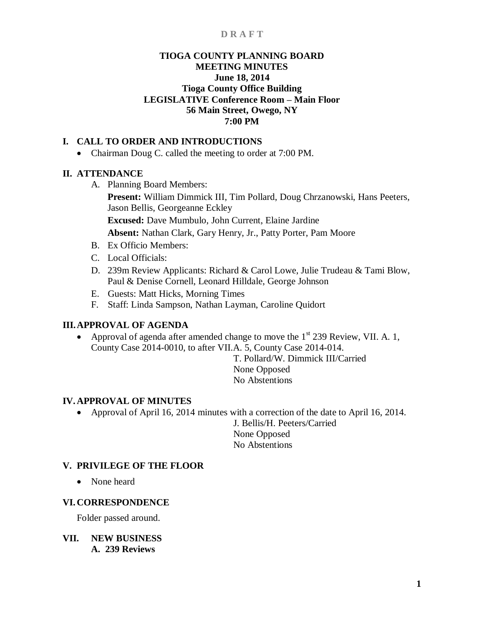# **TIOGA COUNTY PLANNING BOARD MEETING MINUTES June 18, 2014 Tioga County Office Building LEGISLATIVE Conference Room – Main Floor 56 Main Street, Owego, NY 7:00 PM**

# **I. CALL TO ORDER AND INTRODUCTIONS**

• Chairman Doug C. called the meeting to order at 7:00 PM.

# **II. ATTENDANCE**

A. Planning Board Members:

**Present:** William Dimmick III, Tim Pollard, Doug Chrzanowski, Hans Peeters, Jason Bellis, Georgeanne Eckley

**Excused:** Dave Mumbulo, John Current, Elaine Jardine

**Absent:** Nathan Clark, Gary Henry, Jr., Patty Porter, Pam Moore

- B. Ex Officio Members:
- C. Local Officials:
- D. 239m Review Applicants: Richard & Carol Lowe, Julie Trudeau & Tami Blow, Paul & Denise Cornell, Leonard Hilldale, George Johnson
- E. Guests: Matt Hicks, Morning Times
- F. Staff: Linda Sampson, Nathan Layman, Caroline Quidort

# **III.APPROVAL OF AGENDA**

• Approval of agenda after amended change to move the  $1<sup>st</sup> 239$  Review, VII. A. 1, County Case 2014-0010, to after VII.A. 5, County Case 2014-014.

T. Pollard/W. Dimmick III/Carried None Opposed No Abstentions

# **IV. APPROVAL OF MINUTES**

 Approval of April 16, 2014 minutes with a correction of the date to April 16, 2014. J. Bellis/H. Peeters/Carried

None Opposed No Abstentions

# **V. PRIVILEGE OF THE FLOOR**

• None heard

# **VI. CORRESPONDENCE**

Folder passed around.

**VII. NEW BUSINESS A. 239 Reviews**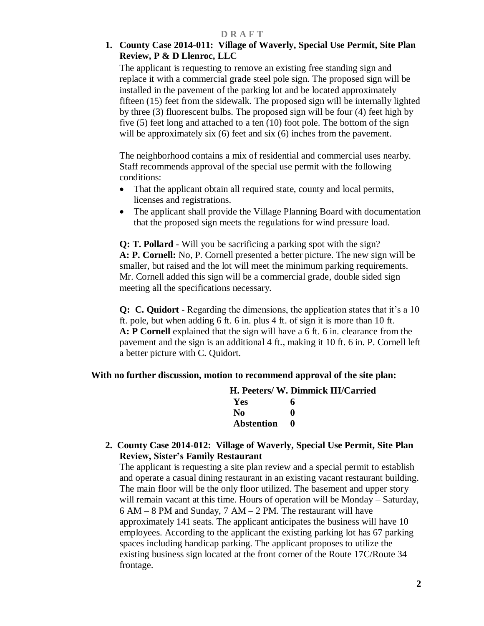# **1. County Case 2014-011: Village of Waverly, Special Use Permit, Site Plan Review, P & D Llenroc, LLC**

The applicant is requesting to remove an existing free standing sign and replace it with a commercial grade steel pole sign. The proposed sign will be installed in the pavement of the parking lot and be located approximately fifteen (15) feet from the sidewalk. The proposed sign will be internally lighted by three (3) fluorescent bulbs. The proposed sign will be four (4) feet high by five (5) feet long and attached to a ten (10) foot pole. The bottom of the sign will be approximately six (6) feet and six (6) inches from the pavement.

The neighborhood contains a mix of residential and commercial uses nearby. Staff recommends approval of the special use permit with the following conditions:

- That the applicant obtain all required state, county and local permits, licenses and registrations.
- The applicant shall provide the Village Planning Board with documentation that the proposed sign meets the regulations for wind pressure load.

**Q: T. Pollard** - Will you be sacrificing a parking spot with the sign? **A: P. Cornell:** No, P. Cornell presented a better picture. The new sign will be smaller, but raised and the lot will meet the minimum parking requirements. Mr. Cornell added this sign will be a commercial grade, double sided sign meeting all the specifications necessary.

**Q: C. Quidort** - Regarding the dimensions, the application states that it's a 10 ft. pole, but when adding 6 ft. 6 in. plus 4 ft. of sign it is more than 10 ft. **A: P Cornell** explained that the sign will have a 6 ft. 6 in. clearance from the pavement and the sign is an additional 4 ft., making it 10 ft. 6 in. P. Cornell left a better picture with C. Quidort.

# **With no further discussion, motion to recommend approval of the site plan:**

|            | H. Peeters/ W. Dimmick III/Carried |
|------------|------------------------------------|
| Yes        | 6                                  |
| -No        | o                                  |
| Abstention | $\mathbf{u}$                       |
|            |                                    |

**2. County Case 2014-012: Village of Waverly, Special Use Permit, Site Plan Review, Sister's Family Restaurant**

The applicant is requesting a site plan review and a special permit to establish and operate a casual dining restaurant in an existing vacant restaurant building. The main floor will be the only floor utilized. The basement and upper story will remain vacant at this time. Hours of operation will be Monday – Saturday, 6 AM – 8 PM and Sunday, 7 AM – 2 PM. The restaurant will have approximately 141 seats. The applicant anticipates the business will have 10 employees. According to the applicant the existing parking lot has 67 parking spaces including handicap parking. The applicant proposes to utilize the existing business sign located at the front corner of the Route 17C/Route 34 frontage.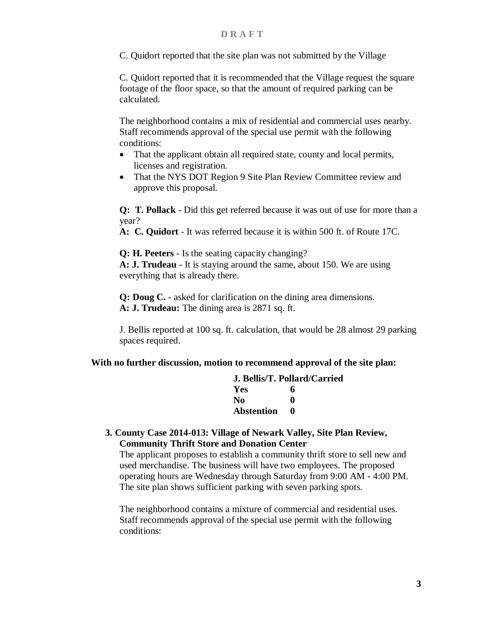C. Quidort reported that the site plan was not submitted by the Village

C. Quidort reported that it is recommended that the Village request the square footage of the floor space, so that the amount of required parking can be calculated.

The neighborhood contains a mix of residential and commercial uses nearby. Staff recommends approval of the special use permit with the following conditions:

- That the applicant obtain all required state, county and local permits, licenses and registration.
- That the NYS DOT Region 9 Site Plan Review Committee review and approve this proposal.

**Q: T. Pollack** - Did this get referred because it was out of use for more than a year?

**A: C. Quidort** - It was referred because it is within 500 ft. of Route 17C.

**Q: H. Peeters** - Is the seating capacity changing? **A: J. Trudeau** - It is staying around the same, about 150. We are using everything that is already there.

**Q: Doug C.** - asked for clarification on the dining area dimensions. **A: J. Trudeau:** The dining area is 2871 sq. ft.

J. Bellis reported at 100 sq. ft. calculation, that would be 28 almost 29 parking spaces required.

### **With no further discussion, motion to recommend approval of the site plan:**

|                   | J. Bellis/T. Pollard/Carried |
|-------------------|------------------------------|
| Yes               | 6                            |
| No                | O                            |
| <b>Abstention</b> | 0                            |

**3. County Case 2014-013: Village of Newark Valley, Site Plan Review, Community Thrift Store and Donation Center**

The applicant proposes to establish a community thrift store to sell new and used merchandise. The business will have two employees. The proposed operating hours are Wednesday through Saturday from 9:00 AM - 4:00 PM. The site plan shows sufficient parking with seven parking spots.

The neighborhood contains a mixture of commercial and residential uses. Staff recommends approval of the special use permit with the following conditions: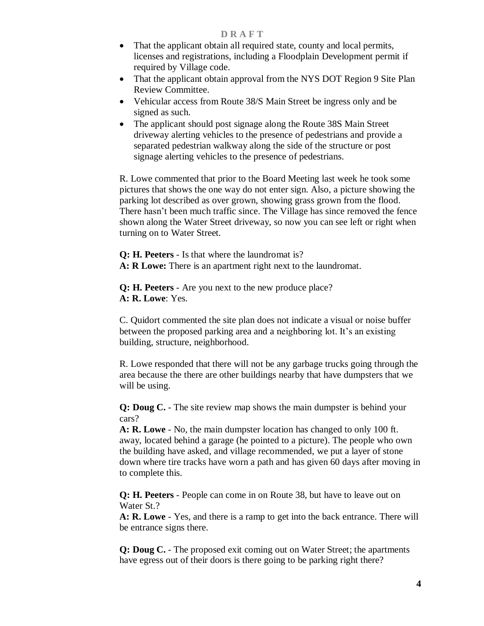- That the applicant obtain all required state, county and local permits, licenses and registrations, including a Floodplain Development permit if required by Village code.
- That the applicant obtain approval from the NYS DOT Region 9 Site Plan Review Committee.
- Vehicular access from Route 38/S Main Street be ingress only and be signed as such.
- The applicant should post signage along the Route 38S Main Street driveway alerting vehicles to the presence of pedestrians and provide a separated pedestrian walkway along the side of the structure or post signage alerting vehicles to the presence of pedestrians.

R. Lowe commented that prior to the Board Meeting last week he took some pictures that shows the one way do not enter sign. Also, a picture showing the parking lot described as over grown, showing grass grown from the flood. There hasn't been much traffic since. The Village has since removed the fence shown along the Water Street driveway, so now you can see left or right when turning on to Water Street.

**Q: H. Peeters** - Is that where the laundromat is? **A: R Lowe:** There is an apartment right next to the laundromat.

**Q: H. Peeters** - Are you next to the new produce place? **A: R. Lowe**: Yes.

C. Quidort commented the site plan does not indicate a visual or noise buffer between the proposed parking area and a neighboring lot. It's an existing building, structure, neighborhood.

R. Lowe responded that there will not be any garbage trucks going through the area because the there are other buildings nearby that have dumpsters that we will be using.

**Q: Doug C.** - The site review map shows the main dumpster is behind your cars?

**A: R. Lowe** - No, the main dumpster location has changed to only 100 ft. away, located behind a garage (he pointed to a picture). The people who own the building have asked, and village recommended, we put a layer of stone down where tire tracks have worn a path and has given 60 days after moving in to complete this.

**Q: H. Peeters** - People can come in on Route 38, but have to leave out on Water St.?

**A: R. Lowe** - Yes, and there is a ramp to get into the back entrance. There will be entrance signs there.

**Q: Doug C.** - The proposed exit coming out on Water Street; the apartments have egress out of their doors is there going to be parking right there?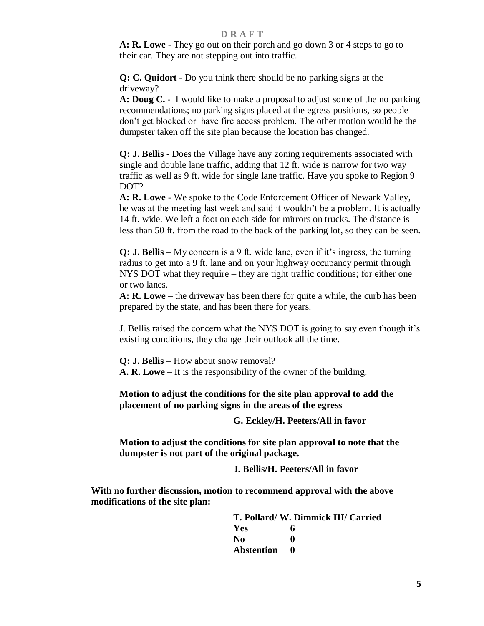**A: R. Lowe** - They go out on their porch and go down 3 or 4 steps to go to their car. They are not stepping out into traffic.

**Q: C. Quidort** - Do you think there should be no parking signs at the driveway?

**A: Doug C.** - I would like to make a proposal to adjust some of the no parking recommendations; no parking signs placed at the egress positions, so people don't get blocked or have fire access problem. The other motion would be the dumpster taken off the site plan because the location has changed.

**Q: J. Bellis** - Does the Village have any zoning requirements associated with single and double lane traffic, adding that 12 ft. wide is narrow for two way traffic as well as 9 ft. wide for single lane traffic. Have you spoke to Region 9 DOT?

**A: R. Lowe** - We spoke to the Code Enforcement Officer of Newark Valley, he was at the meeting last week and said it wouldn't be a problem. It is actually 14 ft. wide. We left a foot on each side for mirrors on trucks. The distance is less than 50 ft. from the road to the back of the parking lot, so they can be seen.

**Q: J. Bellis** – My concern is a 9 ft. wide lane, even if it's ingress, the turning radius to get into a 9 ft. lane and on your highway occupancy permit through NYS DOT what they require – they are tight traffic conditions; for either one or two lanes.

**A: R. Lowe** – the driveway has been there for quite a while, the curb has been prepared by the state, and has been there for years.

J. Bellis raised the concern what the NYS DOT is going to say even though it's existing conditions, they change their outlook all the time.

**Q: J. Bellis** – How about snow removal? **A. R. Lowe** – It is the responsibility of the owner of the building.

**Motion to adjust the conditions for the site plan approval to add the placement of no parking signs in the areas of the egress** 

**G. Eckley/H. Peeters/All in favor**

**Motion to adjust the conditions for site plan approval to note that the dumpster is not part of the original package.** 

**J. Bellis/H. Peeters/All in favor**

**With no further discussion, motion to recommend approval with the above modifications of the site plan:**

> **T. Pollard/ W. Dimmick III/ Carried Yes 6 No 0 Abstention 0**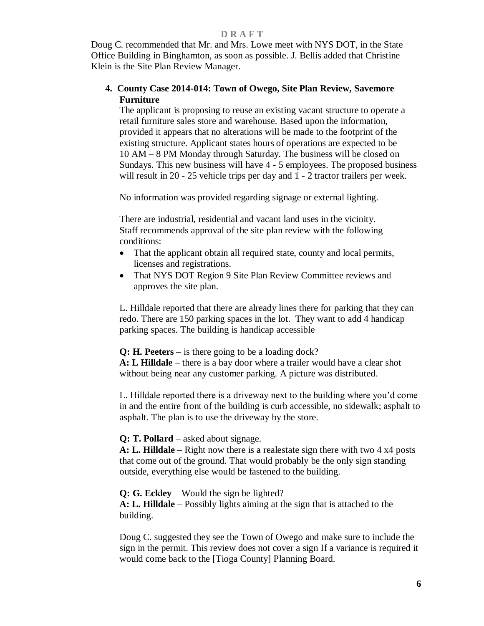Doug C. recommended that Mr. and Mrs. Lowe meet with NYS DOT, in the State Office Building in Binghamton, as soon as possible. J. Bellis added that Christine Klein is the Site Plan Review Manager.

## **4. County Case 2014-014: Town of Owego, Site Plan Review, Savemore Furniture**

The applicant is proposing to reuse an existing vacant structure to operate a retail furniture sales store and warehouse. Based upon the information, provided it appears that no alterations will be made to the footprint of the existing structure. Applicant states hours of operations are expected to be 10 AM – 8 PM Monday through Saturday. The business will be closed on Sundays. This new business will have 4 - 5 employees. The proposed business will result in 20 - 25 vehicle trips per day and 1 - 2 tractor trailers per week.

No information was provided regarding signage or external lighting.

There are industrial, residential and vacant land uses in the vicinity. Staff recommends approval of the site plan review with the following conditions:

- That the applicant obtain all required state, county and local permits, licenses and registrations.
- That NYS DOT Region 9 Site Plan Review Committee reviews and approves the site plan.

L. Hilldale reported that there are already lines there for parking that they can redo. There are 150 parking spaces in the lot. They want to add 4 handicap parking spaces. The building is handicap accessible

**Q: H. Peeters** – is there going to be a loading dock?

**A: L Hilldale** – there is a bay door where a trailer would have a clear shot without being near any customer parking. A picture was distributed.

L. Hilldale reported there is a driveway next to the building where you'd come in and the entire front of the building is curb accessible, no sidewalk; asphalt to asphalt. The plan is to use the driveway by the store.

### **Q: T. Pollard** – asked about signage.

**A: L. Hilldale** – Right now there is a realestate sign there with two 4 x4 posts that come out of the ground. That would probably be the only sign standing outside, everything else would be fastened to the building.

**Q: G. Eckley** – Would the sign be lighted? **A: L. Hilldale** – Possibly lights aiming at the sign that is attached to the building.

Doug C. suggested they see the Town of Owego and make sure to include the sign in the permit. This review does not cover a sign If a variance is required it would come back to the [Tioga County] Planning Board.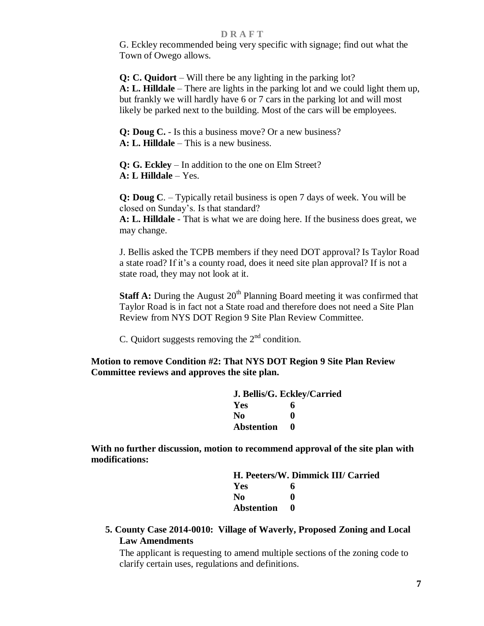G. Eckley recommended being very specific with signage; find out what the Town of Owego allows.

**Q: C. Quidort** – Will there be any lighting in the parking lot? **A: L. Hilldale** – There are lights in the parking lot and we could light them up, but frankly we will hardly have 6 or 7 cars in the parking lot and will most likely be parked next to the building. Most of the cars will be employees.

**Q: Doug C.** - Is this a business move? Or a new business? **A: L. Hilldale** – This is a new business.

**Q: G. Eckley** – In addition to the one on Elm Street? **A: L Hilldale** – Yes.

**Q: Doug C**. – Typically retail business is open 7 days of week. You will be closed on Sunday's. Is that standard?

**A: L. Hilldale** - That is what we are doing here. If the business does great, we may change.

J. Bellis asked the TCPB members if they need DOT approval? Is Taylor Road a state road? If it's a county road, does it need site plan approval? If is not a state road, they may not look at it.

**Staff A:** During the August 20<sup>th</sup> Planning Board meeting it was confirmed that Taylor Road is in fact not a State road and therefore does not need a Site Plan Review from NYS DOT Region 9 Site Plan Review Committee.

C. Quidort suggests removing the  $2<sup>nd</sup>$  condition.

**Motion to remove Condition #2: That NYS DOT Region 9 Site Plan Review Committee reviews and approves the site plan.**

| J. Bellis/G. Eckley/Carried |   |  |
|-----------------------------|---|--|
| <b>Yes</b>                  | 6 |  |
| N <sub>0</sub>              | 0 |  |
| <b>Abstention</b>           | 0 |  |

**With no further discussion, motion to recommend approval of the site plan with modifications:**

> **H. Peeters/W. Dimmick III/ Carried Yes 6 No 0 Abstention 0**

**5. County Case 2014-0010: Village of Waverly, Proposed Zoning and Local Law Amendments** 

The applicant is requesting to amend multiple sections of the zoning code to clarify certain uses, regulations and definitions.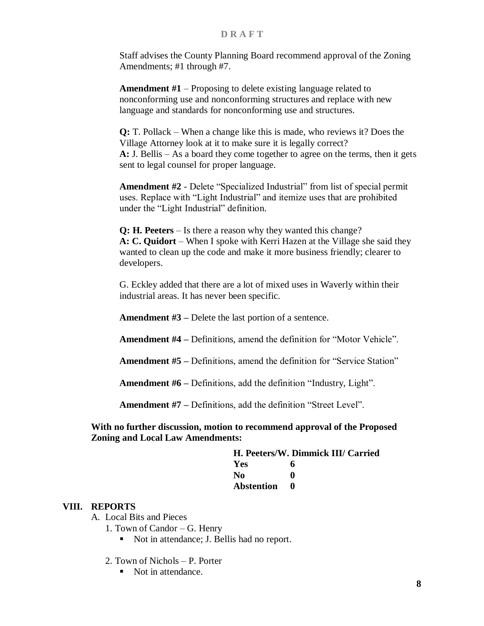Staff advises the County Planning Board recommend approval of the Zoning Amendments; #1 through #7.

**Amendment #1** – Proposing to delete existing language related to nonconforming use and nonconforming structures and replace with new language and standards for nonconforming use and structures.

**Q:** T. Pollack – When a change like this is made, who reviews it? Does the Village Attorney look at it to make sure it is legally correct? **A:** J. Bellis – As a board they come together to agree on the terms, then it gets sent to legal counsel for proper language.

**Amendment #2** - Delete "Specialized Industrial" from list of special permit uses. Replace with "Light Industrial" and itemize uses that are prohibited under the "Light Industrial" definition.

**Q: H. Peeters** – Is there a reason why they wanted this change? **A: C. Quidort** – When I spoke with Kerri Hazen at the Village she said they wanted to clean up the code and make it more business friendly; clearer to developers.

G. Eckley added that there are a lot of mixed uses in Waverly within their industrial areas. It has never been specific.

**Amendment #3 –** Delete the last portion of a sentence.

**Amendment #4 –** Definitions, amend the definition for "Motor Vehicle".

**Amendment #5 –** Definitions, amend the definition for "Service Station"

**Amendment #6 –** Definitions, add the definition "Industry, Light".

**Amendment #7 –** Definitions, add the definition "Street Level".

**With no further discussion, motion to recommend approval of the Proposed Zoning and Local Law Amendments:**

| H. Peeters/W. Dimmick III/ Carried |     |
|------------------------------------|-----|
| <b>Yes</b>                         | 6   |
| No                                 |     |
| Abstention                         | - 0 |

### **VIII. REPORTS**

A. Local Bits and Pieces

1. Town of Candor – G. Henry

- Not in attendance; J. Bellis had no report.
- 2. Town of Nichols P. Porter
	- Not in attendance.